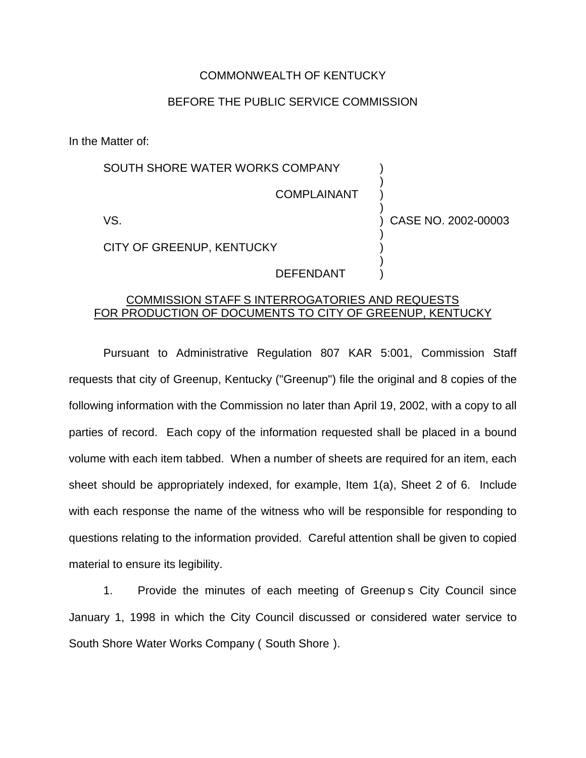## COMMONWEALTH OF KENTUCKY

## BEFORE THE PUBLIC SERVICE COMMISSION

In the Matter of:

## SOUTH SHORE WATER WORKS COMPANY COMPLAINANT VS. ) ) ) ) ) CASE NO. 2002-00003

CITY OF GREENUP, KENTUCKY

DEFENDANT

) ) ) )

## COMMISSION STAFF S INTERROGATORIES AND REQUESTS FOR PRODUCTION OF DOCUMENTS TO CITY OF GREENUP, KENTUCKY

Pursuant to Administrative Regulation 807 KAR 5:001, Commission Staff requests that city of Greenup, Kentucky ("Greenup") file the original and 8 copies of the following information with the Commission no later than April 19, 2002, with a copy to all parties of record. Each copy of the information requested shall be placed in a bound volume with each item tabbed. When a number of sheets are required for an item, each sheet should be appropriately indexed, for example, Item 1(a), Sheet 2 of 6. Include with each response the name of the witness who will be responsible for responding to questions relating to the information provided. Careful attention shall be given to copied material to ensure its legibility.

1. Provide the minutes of each meeting of Greenup s City Council since January 1, 1998 in which the City Council discussed or considered water service to South Shore Water Works Company ( South Shore ).